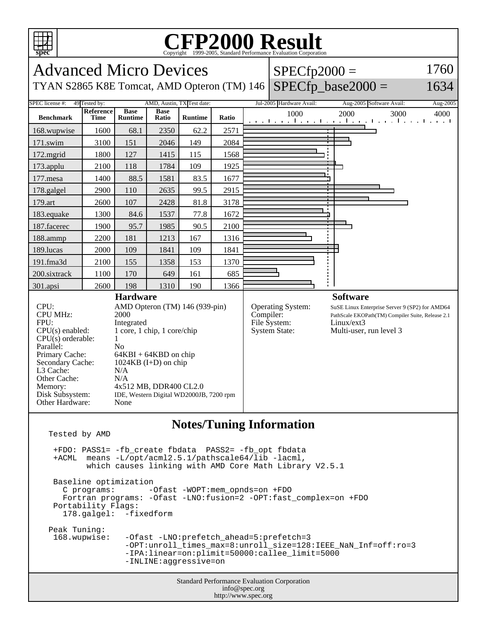

Tested by AMD

Standard Performance Evaluation Corporation info@spec.org +FDO: PASS1= -fb\_create fbdata PASS2= -fb\_opt fbdata +ACML means -L/opt/acml2.5.1/pathscale64/lib -lacml, which causes linking with AMD Core Math Library V2.5.1 Baseline optimization<br>C programs: --Ofast -WOPT:mem\_opnds=on +FDO Fortran programs: -Ofast -LNO:fusion=2 -OPT:fast\_complex=on +FDO Portability Flags: 178.galgel: -fixedform Peak Tuning:<br>168.wupwise: -Ofast -LNO:prefetch\_ahead=5:prefetch=3 -OPT:unroll\_times\_max=8:unroll\_size=128:IEEE\_NaN\_Inf=off:ro=3 -IPA:linear=on:plimit=50000:callee\_limit=5000 -INLINE:aggressive=on

http://www.spec.org